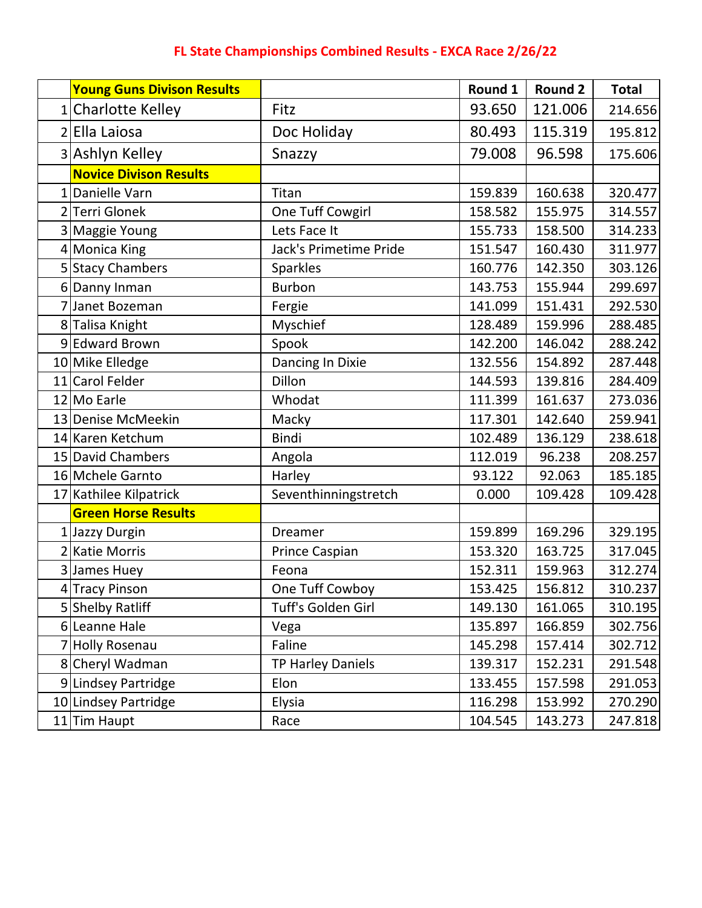## **FL State Championships Combined Results - EXCA Race 2/26/22**

| <b>Young Guns Divison Results</b> |                          | Round 1 | <b>Round 2</b> | <b>Total</b> |
|-----------------------------------|--------------------------|---------|----------------|--------------|
| 1 Charlotte Kelley                | Fitz                     | 93.650  | 121.006        | 214.656      |
| 2 Ella Laiosa                     | Doc Holiday              | 80.493  | 115.319        | 195.812      |
| 3 Ashlyn Kelley                   | Snazzy                   | 79.008  | 96.598         | 175.606      |
| <b>Novice Divison Results</b>     |                          |         |                |              |
| 1 Danielle Varn                   | Titan                    | 159.839 | 160.638        | 320.477      |
| 2 Terri Glonek                    | One Tuff Cowgirl         | 158.582 | 155.975        | 314.557      |
| 3 Maggie Young                    | Lets Face It             | 155.733 | 158.500        | 314.233      |
| 4 Monica King                     | Jack's Primetime Pride   | 151.547 | 160.430        | 311.977      |
| 5 Stacy Chambers                  | Sparkles                 | 160.776 | 142.350        | 303.126      |
| 6 Danny Inman                     | <b>Burbon</b>            | 143.753 | 155.944        | 299.697      |
| 7 Janet Bozeman                   | Fergie                   | 141.099 | 151.431        | 292.530      |
| 8 Talisa Knight                   | Myschief                 | 128.489 | 159.996        | 288.485      |
| 9 Edward Brown                    | Spook                    | 142.200 | 146.042        | 288.242      |
| 10 Mike Elledge                   | Dancing In Dixie         | 132.556 | 154.892        | 287.448      |
| 11 Carol Felder                   | Dillon                   | 144.593 | 139.816        | 284.409      |
| 12 Mo Earle                       | Whodat                   | 111.399 | 161.637        | 273.036      |
| 13 Denise McMeekin                | Macky                    | 117.301 | 142.640        | 259.941      |
| 14 Karen Ketchum                  | <b>Bindi</b>             | 102.489 | 136.129        | 238.618      |
| 15 David Chambers                 | Angola                   | 112.019 | 96.238         | 208.257      |
| 16 Mchele Garnto                  | Harley                   | 93.122  | 92.063         | 185.185      |
| 17 Kathilee Kilpatrick            | Seventhinningstretch     | 0.000   | 109.428        | 109.428      |
| <b>Green Horse Results</b>        |                          |         |                |              |
| 1 Jazzy Durgin                    | Dreamer                  | 159.899 | 169.296        | 329.195      |
| 2 Katie Morris                    | Prince Caspian           | 153.320 | 163.725        | 317.045      |
| 3 James Huey                      | Feona                    | 152.311 | 159.963        | 312.274      |
| 4 Tracy Pinson                    | One Tuff Cowboy          | 153.425 | 156.812        | 310.237      |
| 5 Shelby Ratliff                  | Tuff's Golden Girl       | 149.130 | 161.065        | 310.195      |
| 6 Leanne Hale                     | Vega                     | 135.897 | 166.859        | 302.756      |
| 7 Holly Rosenau                   | Faline                   | 145.298 | 157.414        | 302.712      |
| 8 Cheryl Wadman                   | <b>TP Harley Daniels</b> | 139.317 | 152.231        | 291.548      |
| 9 Lindsey Partridge               | Elon                     | 133.455 | 157.598        | 291.053      |
| 10 Lindsey Partridge              | Elysia                   | 116.298 | 153.992        | 270.290      |
| 11 Tim Haupt                      | Race                     | 104.545 | 143.273        | 247.818      |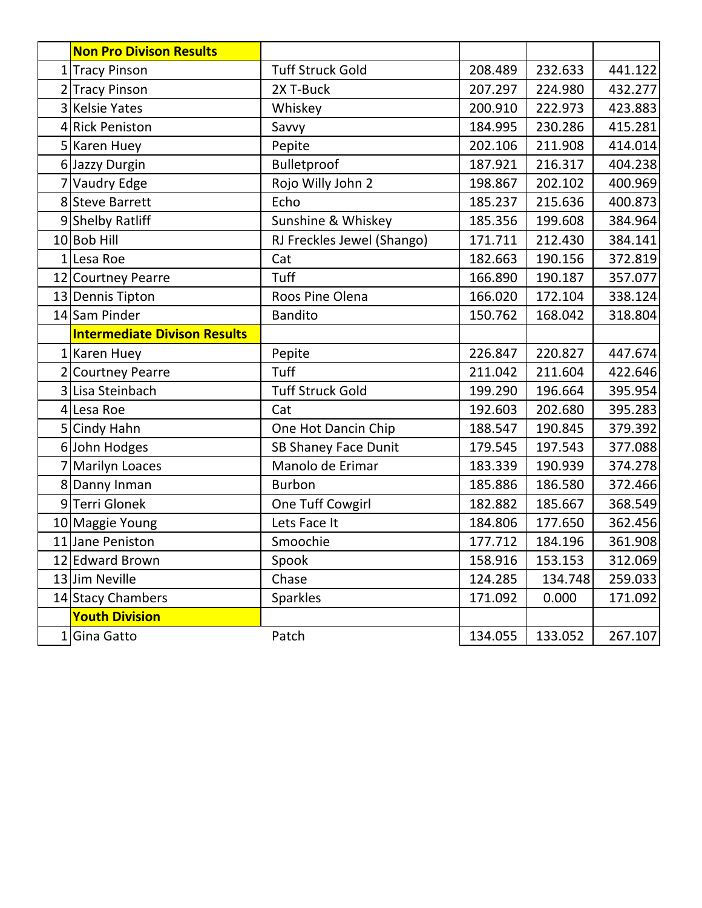|          | <b>Non Pro Divison Results</b>      |                            |         |         |         |
|----------|-------------------------------------|----------------------------|---------|---------|---------|
|          | 1 Tracy Pinson                      | <b>Tuff Struck Gold</b>    | 208.489 | 232.633 | 441.122 |
|          | 2 Tracy Pinson                      | 2X T-Buck                  | 207.297 | 224.980 | 432.277 |
|          | 3 Kelsie Yates                      | Whiskey                    | 200.910 | 222.973 | 423.883 |
|          | 4 Rick Peniston                     | Savvy                      | 184.995 | 230.286 | 415.281 |
|          | 5 Karen Huey                        | Pepite                     | 202.106 | 211.908 | 414.014 |
|          | 6 Jazzy Durgin                      | Bulletproof                | 187.921 | 216.317 | 404.238 |
|          | 7 Vaudry Edge                       | Rojo Willy John 2          | 198.867 | 202.102 | 400.969 |
|          | 8 Steve Barrett                     | Echo                       | 185.237 | 215.636 | 400.873 |
|          | 9 Shelby Ratliff                    | Sunshine & Whiskey         | 185.356 | 199.608 | 384.964 |
|          | 10 Bob Hill                         | RJ Freckles Jewel (Shango) | 171.711 | 212.430 | 384.141 |
|          | 1 Lesa Roe                          | Cat                        | 182.663 | 190.156 | 372.819 |
|          | 12 Courtney Pearre                  | <b>Tuff</b>                | 166.890 | 190.187 | 357.077 |
|          | 13 Dennis Tipton                    | Roos Pine Olena            | 166.020 | 172.104 | 338.124 |
|          | 14 Sam Pinder                       | <b>Bandito</b>             | 150.762 | 168.042 | 318.804 |
|          | <b>Intermediate Divison Results</b> |                            |         |         |         |
|          | 1 Karen Huey                        | Pepite                     | 226.847 | 220.827 | 447.674 |
|          | 2 Courtney Pearre                   | <b>Tuff</b>                | 211.042 | 211.604 | 422.646 |
|          | 3 Lisa Steinbach                    | <b>Tuff Struck Gold</b>    | 199.290 | 196.664 | 395.954 |
|          | 4 Lesa Roe                          | Cat                        | 192.603 | 202.680 | 395.283 |
|          | 5 Cindy Hahn                        | One Hot Dancin Chip        | 188.547 | 190.845 | 379.392 |
|          | 6John Hodges                        | SB Shaney Face Dunit       | 179.545 | 197.543 | 377.088 |
|          | 7 Marilyn Loaces                    | Manolo de Erimar           | 183.339 | 190.939 | 374.278 |
|          | 8 Danny Inman                       | <b>Burbon</b>              | 185.886 | 186.580 | 372.466 |
|          | 9Terri Glonek                       | One Tuff Cowgirl           | 182.882 | 185.667 | 368.549 |
|          | 10 Maggie Young                     | Lets Face It               | 184.806 | 177.650 | 362.456 |
|          | 11 Jane Peniston                    | Smoochie                   | 177.712 | 184.196 | 361.908 |
|          | 12 Edward Brown                     | Spook                      | 158.916 | 153.153 | 312.069 |
|          | 13 Jim Neville                      | Chase                      | 124.285 | 134.748 | 259.033 |
|          | 14 Stacy Chambers                   | <b>Sparkles</b>            | 171.092 | 0.000   | 171.092 |
|          | <b>Youth Division</b>               |                            |         |         |         |
| $1\vert$ | Gina Gatto                          | Patch                      | 134.055 | 133.052 | 267.107 |